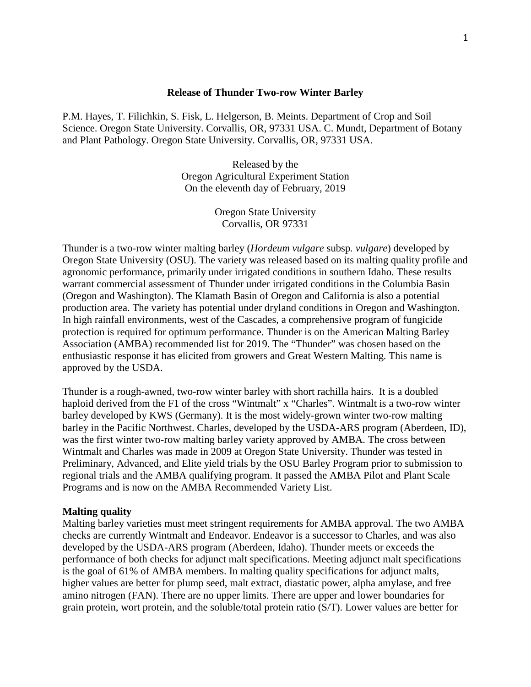# **Release of Thunder Two-row Winter Barley**

P.M. Hayes, T. Filichkin, S. Fisk, L. Helgerson, B. Meints. Department of Crop and Soil Science. Oregon State University. Corvallis, OR, 97331 USA. C. Mundt, Department of Botany and Plant Pathology. Oregon State University. Corvallis, OR, 97331 USA.

> Released by the Oregon Agricultural Experiment Station On the eleventh day of February, 2019

> > Oregon State University Corvallis, OR 97331

Thunder is a two-row winter malting barley (*Hordeum vulgare* subsp*. vulgare*) developed by Oregon State University (OSU). The variety was released based on its malting quality profile and agronomic performance, primarily under irrigated conditions in southern Idaho. These results warrant commercial assessment of Thunder under irrigated conditions in the Columbia Basin (Oregon and Washington). The Klamath Basin of Oregon and California is also a potential production area. The variety has potential under dryland conditions in Oregon and Washington. In high rainfall environments, west of the Cascades, a comprehensive program of fungicide protection is required for optimum performance. Thunder is on the American Malting Barley Association (AMBA) recommended list for 2019. The "Thunder" was chosen based on the enthusiastic response it has elicited from growers and Great Western Malting. This name is approved by the USDA.

Thunder is a rough-awned, two-row winter barley with short rachilla hairs. It is a doubled haploid derived from the F1 of the cross "Wintmalt" x "Charles". Wintmalt is a two-row winter barley developed by KWS (Germany). It is the most widely-grown winter two-row malting barley in the Pacific Northwest. Charles, developed by the USDA-ARS program (Aberdeen, ID), was the first winter two-row malting barley variety approved by AMBA. The cross between Wintmalt and Charles was made in 2009 at Oregon State University. Thunder was tested in Preliminary, Advanced, and Elite yield trials by the OSU Barley Program prior to submission to regional trials and the AMBA qualifying program. It passed the AMBA Pilot and Plant Scale Programs and is now on the AMBA Recommended Variety List.

#### **Malting quality**

Malting barley varieties must meet stringent requirements for AMBA approval. The two AMBA checks are currently Wintmalt and Endeavor. Endeavor is a successor to Charles, and was also developed by the USDA-ARS program (Aberdeen, Idaho). Thunder meets or exceeds the performance of both checks for adjunct malt specifications. Meeting adjunct malt specifications is the goal of 61% of AMBA members. In malting quality specifications for adjunct malts, higher values are better for plump seed, malt extract, diastatic power, alpha amylase, and free amino nitrogen (FAN). There are no upper limits. There are upper and lower boundaries for grain protein, wort protein, and the soluble/total protein ratio (S/T). Lower values are better for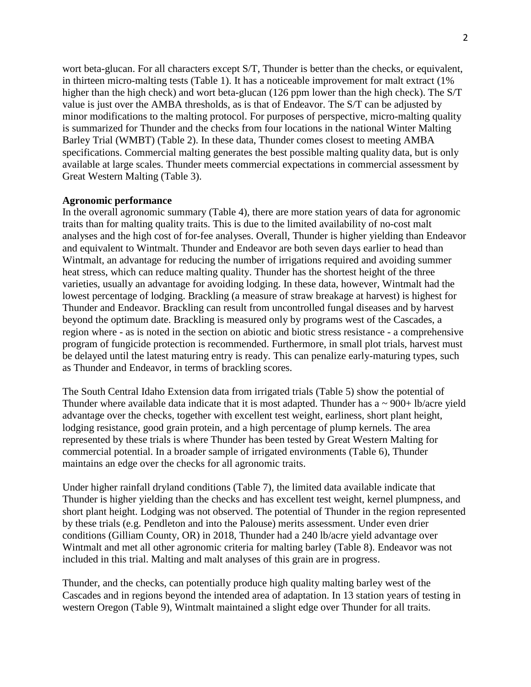wort beta-glucan. For all characters except S/T, Thunder is better than the checks, or equivalent, in thirteen micro-malting tests (Table 1). It has a noticeable improvement for malt extract (1% higher than the high check) and wort beta-glucan (126 ppm lower than the high check). The S/T value is just over the AMBA thresholds, as is that of Endeavor. The S/T can be adjusted by minor modifications to the malting protocol. For purposes of perspective, micro-malting quality is summarized for Thunder and the checks from four locations in the national Winter Malting Barley Trial (WMBT) (Table 2). In these data, Thunder comes closest to meeting AMBA specifications. Commercial malting generates the best possible malting quality data, but is only available at large scales. Thunder meets commercial expectations in commercial assessment by Great Western Malting (Table 3).

# **Agronomic performance**

In the overall agronomic summary (Table 4), there are more station years of data for agronomic traits than for malting quality traits. This is due to the limited availability of no-cost malt analyses and the high cost of for-fee analyses. Overall, Thunder is higher yielding than Endeavor and equivalent to Wintmalt. Thunder and Endeavor are both seven days earlier to head than Wintmalt, an advantage for reducing the number of irrigations required and avoiding summer heat stress, which can reduce malting quality. Thunder has the shortest height of the three varieties, usually an advantage for avoiding lodging. In these data, however, Wintmalt had the lowest percentage of lodging. Brackling (a measure of straw breakage at harvest) is highest for Thunder and Endeavor. Brackling can result from uncontrolled fungal diseases and by harvest beyond the optimum date. Brackling is measured only by programs west of the Cascades, a region where - as is noted in the section on abiotic and biotic stress resistance - a comprehensive program of fungicide protection is recommended. Furthermore, in small plot trials, harvest must be delayed until the latest maturing entry is ready. This can penalize early-maturing types, such as Thunder and Endeavor, in terms of brackling scores.

The South Central Idaho Extension data from irrigated trials (Table 5) show the potential of Thunder where available data indicate that it is most adapted. Thunder has a  $\sim$  900+ lb/acre yield advantage over the checks, together with excellent test weight, earliness, short plant height, lodging resistance, good grain protein, and a high percentage of plump kernels. The area represented by these trials is where Thunder has been tested by Great Western Malting for commercial potential. In a broader sample of irrigated environments (Table 6), Thunder maintains an edge over the checks for all agronomic traits.

Under higher rainfall dryland conditions (Table 7), the limited data available indicate that Thunder is higher yielding than the checks and has excellent test weight, kernel plumpness, and short plant height. Lodging was not observed. The potential of Thunder in the region represented by these trials (e.g. Pendleton and into the Palouse) merits assessment. Under even drier conditions (Gilliam County, OR) in 2018, Thunder had a 240 lb/acre yield advantage over Wintmalt and met all other agronomic criteria for malting barley (Table 8). Endeavor was not included in this trial. Malting and malt analyses of this grain are in progress.

Thunder, and the checks, can potentially produce high quality malting barley west of the Cascades and in regions beyond the intended area of adaptation. In 13 station years of testing in western Oregon (Table 9), Wintmalt maintained a slight edge over Thunder for all traits.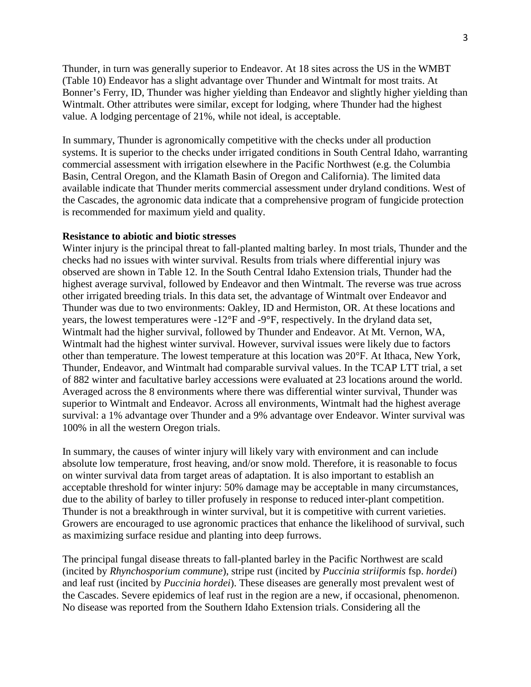Thunder, in turn was generally superior to Endeavor. At 18 sites across the US in the WMBT (Table 10) Endeavor has a slight advantage over Thunder and Wintmalt for most traits. At Bonner's Ferry, ID, Thunder was higher yielding than Endeavor and slightly higher yielding than Wintmalt. Other attributes were similar, except for lodging, where Thunder had the highest value. A lodging percentage of 21%, while not ideal, is acceptable.

In summary, Thunder is agronomically competitive with the checks under all production systems. It is superior to the checks under irrigated conditions in South Central Idaho, warranting commercial assessment with irrigation elsewhere in the Pacific Northwest (e.g. the Columbia Basin, Central Oregon, and the Klamath Basin of Oregon and California). The limited data available indicate that Thunder merits commercial assessment under dryland conditions. West of the Cascades, the agronomic data indicate that a comprehensive program of fungicide protection is recommended for maximum yield and quality.

## **Resistance to abiotic and biotic stresses**

Winter injury is the principal threat to fall-planted malting barley. In most trials, Thunder and the checks had no issues with winter survival. Results from trials where differential injury was observed are shown in Table 12. In the South Central Idaho Extension trials, Thunder had the highest average survival, followed by Endeavor and then Wintmalt. The reverse was true across other irrigated breeding trials. In this data set, the advantage of Wintmalt over Endeavor and Thunder was due to two environments: Oakley, ID and Hermiston, OR. At these locations and years, the lowest temperatures were -12°F and -9°F, respectively. In the dryland data set, Wintmalt had the higher survival, followed by Thunder and Endeavor. At Mt. Vernon, WA, Wintmalt had the highest winter survival. However, survival issues were likely due to factors other than temperature. The lowest temperature at this location was 20°F. At Ithaca, New York, Thunder, Endeavor, and Wintmalt had comparable survival values. In the TCAP LTT trial, a set of 882 winter and facultative barley accessions were evaluated at 23 locations around the world. Averaged across the 8 environments where there was differential winter survival, Thunder was superior to Wintmalt and Endeavor. Across all environments, Wintmalt had the highest average survival: a 1% advantage over Thunder and a 9% advantage over Endeavor. Winter survival was 100% in all the western Oregon trials.

In summary, the causes of winter injury will likely vary with environment and can include absolute low temperature, frost heaving, and/or snow mold. Therefore, it is reasonable to focus on winter survival data from target areas of adaptation. It is also important to establish an acceptable threshold for winter injury: 50% damage may be acceptable in many circumstances, due to the ability of barley to tiller profusely in response to reduced inter-plant competition. Thunder is not a breakthrough in winter survival, but it is competitive with current varieties. Growers are encouraged to use agronomic practices that enhance the likelihood of survival, such as maximizing surface residue and planting into deep furrows.

The principal fungal disease threats to fall-planted barley in the Pacific Northwest are scald (incited by *Rhynchosporium commune*), stripe rust (incited by *Puccinia striiformis* fsp. *hordei*) and leaf rust (incited by *Puccinia hordei*). These diseases are generally most prevalent west of the Cascades. Severe epidemics of leaf rust in the region are a new, if occasional, phenomenon. No disease was reported from the Southern Idaho Extension trials. Considering all the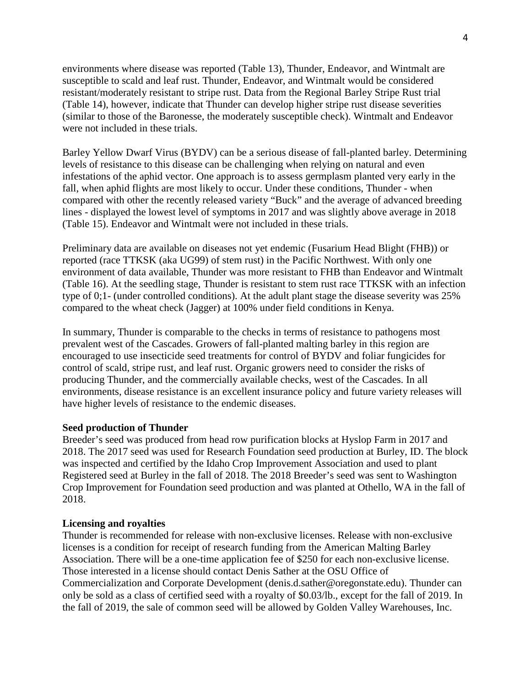environments where disease was reported (Table 13), Thunder, Endeavor, and Wintmalt are susceptible to scald and leaf rust. Thunder, Endeavor, and Wintmalt would be considered resistant/moderately resistant to stripe rust. Data from the Regional Barley Stripe Rust trial (Table 14), however, indicate that Thunder can develop higher stripe rust disease severities (similar to those of the Baronesse, the moderately susceptible check). Wintmalt and Endeavor were not included in these trials.

Barley Yellow Dwarf Virus (BYDV) can be a serious disease of fall-planted barley. Determining levels of resistance to this disease can be challenging when relying on natural and even infestations of the aphid vector. One approach is to assess germplasm planted very early in the fall, when aphid flights are most likely to occur. Under these conditions, Thunder - when compared with other the recently released variety "Buck" and the average of advanced breeding lines - displayed the lowest level of symptoms in 2017 and was slightly above average in 2018 (Table 15). Endeavor and Wintmalt were not included in these trials.

Preliminary data are available on diseases not yet endemic (Fusarium Head Blight (FHB)) or reported (race TTKSK (aka UG99) of stem rust) in the Pacific Northwest. With only one environment of data available, Thunder was more resistant to FHB than Endeavor and Wintmalt (Table 16). At the seedling stage, Thunder is resistant to stem rust race TTKSK with an infection type of 0;1- (under controlled conditions). At the adult plant stage the disease severity was 25% compared to the wheat check (Jagger) at 100% under field conditions in Kenya.

In summary, Thunder is comparable to the checks in terms of resistance to pathogens most prevalent west of the Cascades. Growers of fall-planted malting barley in this region are encouraged to use insecticide seed treatments for control of BYDV and foliar fungicides for control of scald, stripe rust, and leaf rust. Organic growers need to consider the risks of producing Thunder, and the commercially available checks, west of the Cascades. In all environments, disease resistance is an excellent insurance policy and future variety releases will have higher levels of resistance to the endemic diseases.

# **Seed production of Thunder**

Breeder's seed was produced from head row purification blocks at Hyslop Farm in 2017 and 2018. The 2017 seed was used for Research Foundation seed production at Burley, ID. The block was inspected and certified by the Idaho Crop Improvement Association and used to plant Registered seed at Burley in the fall of 2018. The 2018 Breeder's seed was sent to Washington Crop Improvement for Foundation seed production and was planted at Othello, WA in the fall of 2018.

#### **Licensing and royalties**

Thunder is recommended for release with non-exclusive licenses. Release with non-exclusive licenses is a condition for receipt of research funding from the American Malting Barley Association. There will be a one-time application fee of \$250 for each non-exclusive license. Those interested in a license should contact Denis Sather at the OSU Office of Commercialization and Corporate Development (denis.d.sather@oregonstate.edu). Thunder can only be sold as a class of certified seed with a royalty of \$0.03/lb., except for the fall of 2019. In the fall of 2019, the sale of common seed will be allowed by Golden Valley Warehouses, Inc.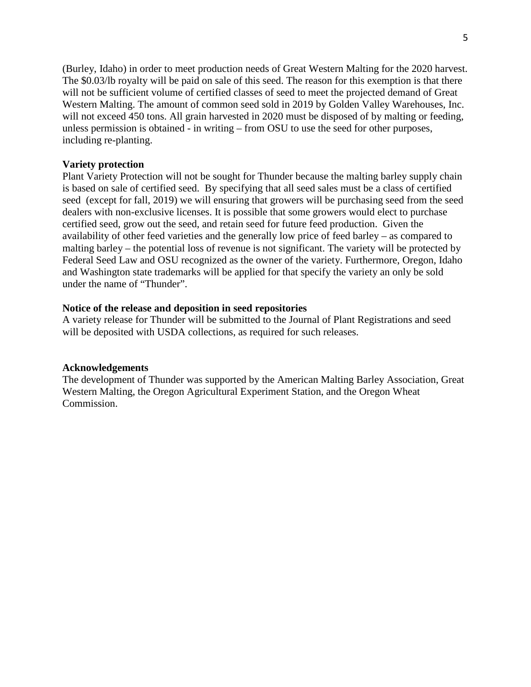(Burley, Idaho) in order to meet production needs of Great Western Malting for the 2020 harvest. The \$0.03/lb royalty will be paid on sale of this seed. The reason for this exemption is that there will not be sufficient volume of certified classes of seed to meet the projected demand of Great Western Malting. The amount of common seed sold in 2019 by Golden Valley Warehouses, Inc. will not exceed 450 tons. All grain harvested in 2020 must be disposed of by malting or feeding, unless permission is obtained - in writing – from OSU to use the seed for other purposes, including re-planting.

#### **Variety protection**

Plant Variety Protection will not be sought for Thunder because the malting barley supply chain is based on sale of certified seed. By specifying that all seed sales must be a class of certified seed (except for fall, 2019) we will ensuring that growers will be purchasing seed from the seed dealers with non-exclusive licenses. It is possible that some growers would elect to purchase certified seed, grow out the seed, and retain seed for future feed production. Given the availability of other feed varieties and the generally low price of feed barley – as compared to malting barley – the potential loss of revenue is not significant. The variety will be protected by Federal Seed Law and OSU recognized as the owner of the variety. Furthermore, Oregon, Idaho and Washington state trademarks will be applied for that specify the variety an only be sold under the name of "Thunder".

## **Notice of the release and deposition in seed repositories**

A variety release for Thunder will be submitted to the Journal of Plant Registrations and seed will be deposited with USDA collections, as required for such releases.

## **Acknowledgements**

The development of Thunder was supported by the American Malting Barley Association, Great Western Malting, the Oregon Agricultural Experiment Station, and the Oregon Wheat Commission.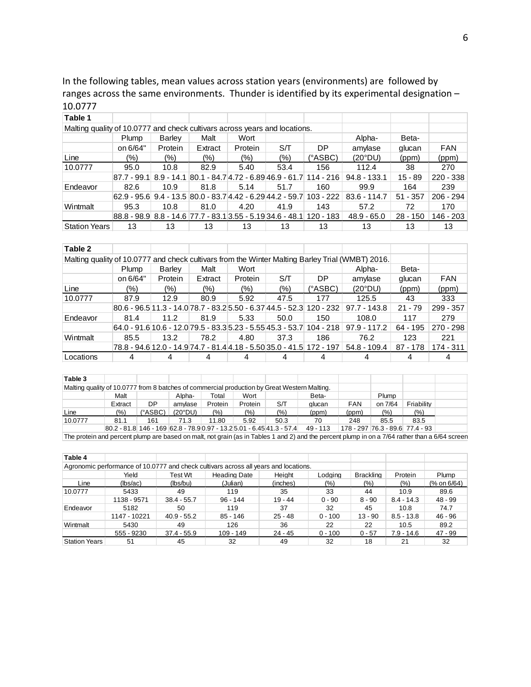In the following tables, mean values across station years (environments) are followed by ranges across the same environments. Thunder is identified by its experimental designation – 10.0777

| Table 1                                                                    |                                                                                  |         |         |         |                                                                      |         |                |            |             |
|----------------------------------------------------------------------------|----------------------------------------------------------------------------------|---------|---------|---------|----------------------------------------------------------------------|---------|----------------|------------|-------------|
| Malting quality of 10.0777 and check cultivars across years and locations. |                                                                                  |         |         |         |                                                                      |         |                |            |             |
|                                                                            | Plump                                                                            | Barley  | Malt    | Wort    |                                                                      |         | Alpha-         | Beta-      |             |
|                                                                            | on 6/64"                                                                         | Protein | Extract | Protein | S/T                                                                  | DP      | amylase        | glucan     | <b>FAN</b>  |
| Line                                                                       | (%)                                                                              | (%)     | $(\% )$ | (%)     | $(\% )$                                                              | (°ASBC) | (20°DU)        | (ppm)      | (ppm)       |
| 10.0777                                                                    | 95.0                                                                             | 10.8    | 82.9    | 5.40    | 53.4                                                                 | 156     | 112.4          | 38         | 270         |
|                                                                            | 87.7 - 99.1   8.9 - 14.1  80.1 - 84.7 4.72 - 6.89 46.9 - 61.7   114 - 216        |         |         |         |                                                                      |         | $94.8 - 133.1$ | $15 - 89$  | $220 - 338$ |
| Endeavor                                                                   | 82.6                                                                             | 10.9    | 81.8    | 5.14    | 51.7                                                                 | 160     | 99.9           | 164        | 239         |
|                                                                            | $62.9 - 95.6$ $9.4 - 13.5$ $80.0 - 83.7$ $4.42 - 6.29$ $44.2 - 59.7$ $103 - 222$ |         |         |         |                                                                      |         | $83.6 - 114.7$ | $51 - 357$ | $206 - 294$ |
| Wintmalt                                                                   | 95.3                                                                             | 10.8    | 81.0    | 4.20    | 41.9                                                                 | 143     | 57.2           | 72         | 170         |
|                                                                            |                                                                                  |         |         |         | 88.8 - 98.9 8.8 - 14.6 77.7 - 83.1 3.55 - 5.19 34.6 - 48.1 120 - 183 |         | $48.9 - 65.0$  | $28 - 150$ | 146 - 203   |
| Station Years                                                              | 13                                                                               | 13      | 13      | 13      | 13                                                                   | 13      | 13             | 13         | 13          |

#### **Table 2**

Τ

т

Т

| Malting quality of 10.0777 and check cultivars from the Winter Malting Barley Trial (WMBT) 2016. |                                                                           |         |         |         |      |         |                                                                                        |            |             |
|--------------------------------------------------------------------------------------------------|---------------------------------------------------------------------------|---------|---------|---------|------|---------|----------------------------------------------------------------------------------------|------------|-------------|
|                                                                                                  | Plump                                                                     | Barley  | Malt    | Wort    |      |         | Alpha-                                                                                 | Beta-      |             |
|                                                                                                  | on 6/64"                                                                  | Protein | Extract | Protein | S/T  | DP.     | amylase                                                                                | glucan     | <b>FAN</b>  |
| Line                                                                                             | $(\% )$                                                                   | (% )    | $(\% )$ | (%)     | (%)  | (°ASBC) | (20°DU)                                                                                | (ppm)      | (ppm)       |
| 10.0777                                                                                          | 87.9                                                                      | 12.9    | 80.9    | 5.92    | 47.5 | 177     | 125.5                                                                                  | 43         | 333         |
|                                                                                                  | $ 80.6 - 96.5 11.3 - 14.0 78.7 - 83.2 5.50 - 6.37 44.5 - 52.3 120 - 232 $ |         |         |         |      |         | 97.7 - 143.8                                                                           | $21 - 79$  | 299 - 357   |
| Endeavor                                                                                         | 81.4                                                                      | 11.2    | 81.9    | 5.33    | 50.0 | 150     | 108.0                                                                                  | 117        | 279         |
|                                                                                                  |                                                                           |         |         |         |      |         | $64.0 - 91.6$ 10.6 - 12.0 79.5 - 83.3 5.23 - 5.55 45.3 - 53.7 104 - 218   97.9 - 117.2 | 64 - 195   | 270 - 298   |
| Wintmalt                                                                                         | 85.5                                                                      | 13.2    | 78.2    | 4.80    | 37.3 | 186     | 76.2                                                                                   | 123        | 221         |
|                                                                                                  |                                                                           |         |         |         |      |         | 78.8 - 94.6 12.0 - 14.9 74.7 - 81.4 4.18 - 5.50 35.0 - 41.5 172 - 197   54.8 - 109.4   | $87 - 178$ | $174 - 311$ |
| Locations                                                                                        | 4                                                                         |         |         |         |      |         |                                                                                        |            |             |

Τ

Τ

Т

Τ

т

| Table 3                                                                                      |         |                   |         |         |         |                                                                           |          |            |                                 |            |  |
|----------------------------------------------------------------------------------------------|---------|-------------------|---------|---------|---------|---------------------------------------------------------------------------|----------|------------|---------------------------------|------------|--|
| Malting quality of 10.0777 from 8 batches of commercial production by Great Western Malting. |         |                   |         |         |         |                                                                           |          |            |                                 |            |  |
|                                                                                              | Malt    |                   | Alpha-  | Total   | Wort    |                                                                           | Beta-    |            | Plump                           |            |  |
|                                                                                              | Extract | DP                | amvlase | Protein | Protein | S/T                                                                       | glucan   | <b>FAN</b> | on 7/64                         | Friability |  |
| Line                                                                                         | (%)     | $(^{\circ}$ ASBC) | (20°DU) | (%)     | (%)     | (%)                                                                       | (ppm)    | (ppm)      | $(\% )$                         | $(\% )$    |  |
| 10.0777                                                                                      | 81.1    | 161               | 71.3    | 11.80   | 5.92    | 50.3                                                                      | 70       | 248        | 85.5                            | 83.5       |  |
|                                                                                              |         |                   |         |         |         | $ 80.2 - 81.8 $ 146 - 169 62.8 - 78.9 0.97 - 13.2 5.01 - 6.45 41.3 - 57.4 | 49 - 113 |            | 178 - 297 76.3 - 89.6 77.4 - 93 |            |  |

The protein and percent plump are based on malt, not grain (as in Tables 1 and 2) and the percent plump in on a 7/64 rather than a 6/64 screen

| Table 4                                                                              |              |               |                     |           |           |                  |              |             |
|--------------------------------------------------------------------------------------|--------------|---------------|---------------------|-----------|-----------|------------------|--------------|-------------|
| Agronomic performance of 10.0777 and check cultivars across all years and locations. |              |               |                     |           |           |                  |              |             |
|                                                                                      | Yield        | Test Wt       | <b>Heading Date</b> | Height    | Lodging   | <b>Brackling</b> | Protein      | Plump       |
| Line                                                                                 | (lbs/ac)     | (lbs/bu)      | (Julian)            | (inches)  | (%)       | $(\% )$          | $(\% )$      | (% on 6/64) |
| 10.0777                                                                              | 5433         | 49            | 119                 | 35        | 33        | 44               | 10.9         | 89.6        |
|                                                                                      | 1138 - 9571  | $38.4 - 55.7$ | $96 - 144$          | $19 - 44$ | $0 - 90$  | $8 - 90$         | $8.4 - 14.3$ | $48 - 99$   |
| Endeavor                                                                             | 5182         | 50            | 119                 | 37        | 32        | 45               | 10.8         | 74.7        |
|                                                                                      | 1147 - 10221 | $40.9 - 55.2$ | $85 - 146$          | $25 - 48$ | $0 - 100$ | $13 - 90$        | $8.5 - 13.8$ | 46 - 96     |
| Wintmalt                                                                             | 5430         | 49            | 126                 | 36        | 22        | 22               | 10.5         | 89.2        |
|                                                                                      | 555 - 9230   | $37.4 - 55.9$ | 109 - 149           | $24 - 45$ | $0 - 100$ | $0 - 57$         | $7.9 - 14.6$ | 47 - 99     |
| <b>Station Years</b>                                                                 | 51           | 45            | 32                  | 49        | 32        | 18               | 21           | 32          |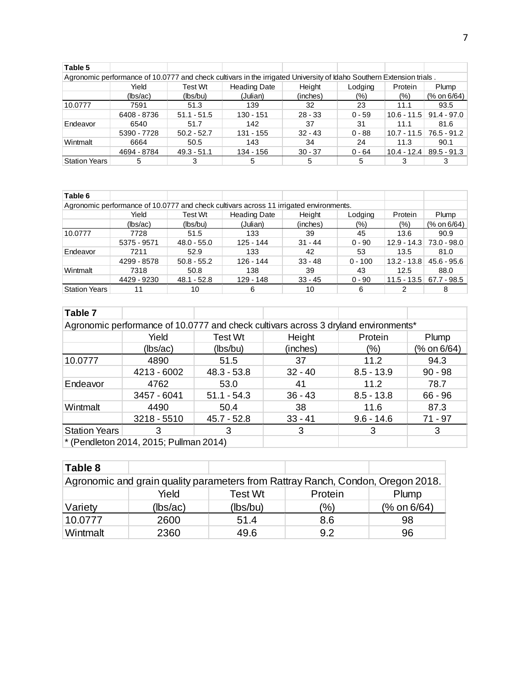| Table 5       |             |               |                                                                                                                      |           |          |               |                           |
|---------------|-------------|---------------|----------------------------------------------------------------------------------------------------------------------|-----------|----------|---------------|---------------------------|
|               |             |               | Agronomic performance of 10.0777 and check cultivars in the irrigated University of Idaho Southern Extension trials. |           |          |               |                           |
|               | Yield       | Test Wt       | <b>Heading Date</b>                                                                                                  | Height    | Lodging  | Protein       | Plump                     |
|               | (lbs/ac)    | (lbs/bu)      | (Julian)                                                                                                             | (inches)  | (%)      | (%)           | (% on 6/64)               |
| 10.0777       | 7591        | 51.3          | 139                                                                                                                  | 32        | 23       | 11.1          | 93.5                      |
|               | 6408 - 8736 | $51.1 - 51.5$ | $130 - 151$                                                                                                          | $28 - 33$ | $0 - 59$ | $10.6 - 11.5$ | $91.4 - 97.0$             |
| Endeavor      | 6540        | 51.7          | 142                                                                                                                  | 37        | 31       | 11.1          | 81.6                      |
|               | 5390 - 7728 | $50.2 - 52.7$ | 131 - 155                                                                                                            | $32 - 43$ | $0 - 88$ |               | $10.7 - 11.5$ 76.5 - 91.2 |
| Wintmalt      | 6664        | 50.5          | 143                                                                                                                  | 34        | 24       | 11.3          | 90.1                      |
|               | 4694 - 8784 | $49.3 - 51.1$ | 134 - 156                                                                                                            | $30 - 37$ | $0 - 64$ | $10.4 - 12.4$ | $89.5 - 91.3$             |
| Station Years | 5           |               |                                                                                                                      | 5         |          |               |                           |

| Table 6                                                                                |             |               |                     |           |           |               |               |
|----------------------------------------------------------------------------------------|-------------|---------------|---------------------|-----------|-----------|---------------|---------------|
| Agronomic performance of 10.0777 and check cultivars across 11 irrigated environments. |             |               |                     |           |           |               |               |
|                                                                                        | Yield       | Test Wt       | <b>Heading Date</b> | Height    | Lodging   | Protein       | Plump         |
|                                                                                        | (lbs/ac)    | (lbs/bu)      | (Julian)            | (inches)  | (%)       | $(\% )$       | (% on 6/64)   |
| 10.0777                                                                                | 7728        | 51.5          | 133                 | 39        | 45        | 13.6          | 90.9          |
|                                                                                        | 5375 - 9571 | $48.0 - 55.0$ | $125 - 144$         | $31 - 44$ | $0 - 90$  | $12.9 - 14.3$ | 73.0 - 98.0   |
| Endeavor                                                                               | 7211        | 52.9          | 133                 | 42        | 53        | 13.5          | 81.0          |
|                                                                                        | 4299 - 8578 | $50.8 - 55.2$ | $126 - 144$         | $33 - 48$ | $0 - 100$ | $13.2 - 13.8$ | $45.6 - 95.6$ |
| Wintmalt                                                                               | 7318        | 50.8          | 138                 | 39        | 43        | 12.5          | 88.0          |
|                                                                                        | 4429 - 9230 | $48.1 - 52.8$ | 129 - 148           | $33 - 45$ | $0 - 90$  | $11.5 - 13.5$ | $67.7 - 98.5$ |
| <b>Station Years</b>                                                                   |             | 10            | 6                   | 10        | 6         |               | 8             |

| Table 7                                                                             |                                        |                |           |              |             |  |  |  |  |
|-------------------------------------------------------------------------------------|----------------------------------------|----------------|-----------|--------------|-------------|--|--|--|--|
|                                                                                     |                                        |                |           |              |             |  |  |  |  |
| Agronomic performance of 10.0777 and check cultivars across 3 dryland environments* |                                        |                |           |              |             |  |  |  |  |
|                                                                                     | Yield                                  | <b>Test Wt</b> | Height    | Protein      | Plump       |  |  |  |  |
|                                                                                     | (lbs/ac)                               | (lbs/bu)       | (inches)  | (%)          | (% on 6/64) |  |  |  |  |
| 10.0777                                                                             | 4890                                   | 51.5           | 37        | 11.2         | 94.3        |  |  |  |  |
|                                                                                     | 4213 - 6002                            | $48.3 - 53.8$  | $32 - 40$ | $8.5 - 13.9$ | $90 - 98$   |  |  |  |  |
| Endeavor                                                                            | 4762                                   | 53.0           | 41        | 11.2         | 78.7        |  |  |  |  |
|                                                                                     | 3457 - 6041                            | $51.1 - 54.3$  | $36 - 43$ | $8.5 - 13.8$ | $66 - 96$   |  |  |  |  |
| Wintmalt                                                                            | 4490                                   | 50.4           | 38        | 11.6         | 87.3        |  |  |  |  |
|                                                                                     | $3218 - 5510$                          | $45.7 - 52.8$  | $33 - 41$ | $9.6 - 14.6$ | 71 - 97     |  |  |  |  |
| <b>Station Years</b>                                                                | 3                                      | 3              | 3         | 3            | 3           |  |  |  |  |
|                                                                                     | * (Pendleton 2014, 2015; Pullman 2014) |                |           |              |             |  |  |  |  |

| Table 8                                                                         |          |          |         |             |  |  |  |  |  |
|---------------------------------------------------------------------------------|----------|----------|---------|-------------|--|--|--|--|--|
| Agronomic and grain quality parameters from Rattray Ranch, Condon, Oregon 2018. |          |          |         |             |  |  |  |  |  |
|                                                                                 | Yield    | Test Wt  | Protein | Plump       |  |  |  |  |  |
| Variety                                                                         | (lbs/ac) | (lbs/bu) | (%)     | (% on 6/64) |  |  |  |  |  |
| 10.0777                                                                         | 2600     | 51.4     | 8.6     | 98          |  |  |  |  |  |
| Wintmalt                                                                        | 2360     | 49.6     | 9.2     | 96          |  |  |  |  |  |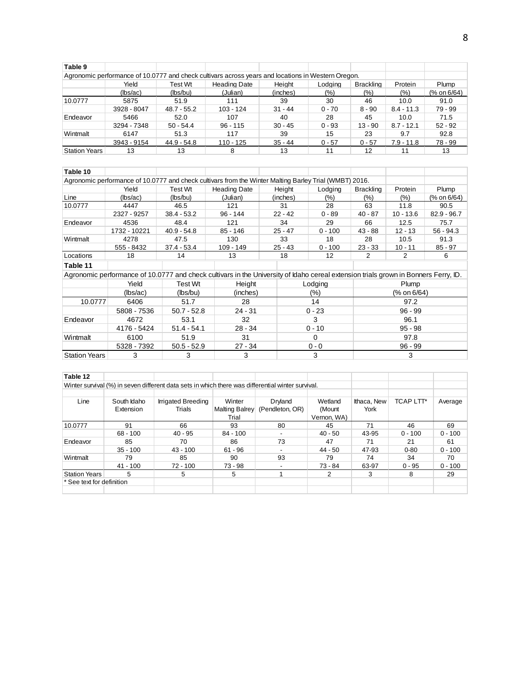| Table 9                                                                                            |             |               |                     |           |          |                  |              |             |
|----------------------------------------------------------------------------------------------------|-------------|---------------|---------------------|-----------|----------|------------------|--------------|-------------|
| Agronomic performance of 10.0777 and check cultivars across years and locations in Western Oregon. |             |               |                     |           |          |                  |              |             |
|                                                                                                    | Yield       | Test Wt       | <b>Heading Date</b> | Height    | Lodging  | <b>Brackling</b> | Protein      | Plump       |
|                                                                                                    | (lbs/ac)    | (lbs/bu)      | (Julian)            | (inches)  | (%)      | $(\% )$          | (%)          | (% on 6/64) |
| 10.0777                                                                                            | 5875        | 51.9          | 111                 | 39        | 30       | 46               | 10.0         | 91.0        |
|                                                                                                    | 3928 - 8047 | $48.7 - 55.2$ | $103 - 124$         | $31 - 44$ | $0 - 70$ | $8 - 90$         | $8.4 - 11.3$ | 79 - 99     |
| Endeavor                                                                                           | 5466        | 52.0          | 107                 | 40        | 28       | 45               | 10.0         | 71.5        |
|                                                                                                    | 3294 - 7348 | $50 - 54.4$   | $96 - 115$          | $30 - 45$ | $0 - 93$ | $13 - 90$        | $8.7 - 12.1$ | $52 - 92$   |
| Wintmalt                                                                                           | 6147        | 51.3          | 117                 | 39        | 15       | 23               | 9.7          | 92.8        |
|                                                                                                    | 3943 - 9154 | 44.9 - 54.8   | $110 - 125$         | $35 - 44$ | $0 - 57$ | $0 - 57$         | $7.9 - 11.8$ | 78 - 99     |
| <b>Station Years</b>                                                                               | 13          | 13            |                     | 13        | 11       | 12               |              | 13          |

| Table 10             |              |               |                                                                                                                                     |           |           |                  |             |               |
|----------------------|--------------|---------------|-------------------------------------------------------------------------------------------------------------------------------------|-----------|-----------|------------------|-------------|---------------|
|                      |              |               | Agronomic performance of 10.0777 and check cultivars from the Winter Malting Barley Trial (WMBT) 2016.                              |           |           |                  |             |               |
|                      | Yield        | Test Wt       | <b>Heading Date</b>                                                                                                                 | Height    | Lodging   | <b>Brackling</b> | Protein     | Plump         |
| Line                 | (lbs/ac)     | (lbs/bu)      | (Julian)                                                                                                                            | (inches)  | $(\% )$   | (%)              | $(\% )$     | (% on 6/64)   |
| 10.0777              | 4447         | 46.5          | 121                                                                                                                                 | 31        | 28        | 63               | 11.8        | 90.5          |
|                      | 2327 - 9257  | $38.4 - 53.2$ | $96 - 144$                                                                                                                          | $22 - 42$ | $0 - 89$  | $40 - 87$        | $10 - 13.6$ | $82.9 - 96.7$ |
| Endeavor             | 4536         | 48.4          | 121                                                                                                                                 | 34        | 29        | 66               | 12.5        | 75.7          |
|                      | 1732 - 10221 | $40.9 - 54.8$ | $85 - 146$                                                                                                                          | $25 - 47$ | $0 - 100$ | $43 - 88$        | $12 - 13$   | $56 - 94.3$   |
| Wintmalt             | 4278         | 47.5          | 130                                                                                                                                 | 33        | 18        | 28               | 10.5        | 91.3          |
|                      | 555 - 8432   | $37.4 - 53.4$ | $109 - 149$                                                                                                                         | $25 - 43$ | $0 - 100$ | $23 - 33$        | $10 - 11$   | $85 - 97$     |
| Locations            | 18           | 14            | 13                                                                                                                                  | 18        | 12        | 2                | 2           | 6             |
| Table 11             |              |               |                                                                                                                                     |           |           |                  |             |               |
|                      |              |               | Agronomic performance of 10.0777 and check cultivars in the University of Idaho cereal extension trials grown in Bonners Ferry, ID. |           |           |                  |             |               |
|                      | Yield        | Test Wt       | Height                                                                                                                              |           | Lodging   |                  | Plump       |               |
|                      | (lbs/ac)     | (lbs/bu)      | (inches)                                                                                                                            |           | $(\% )$   |                  | (% on 6/64) |               |
| 10.0777              | 6406         | 51.7          | 28                                                                                                                                  |           | 14        |                  | 97.2        |               |
|                      | 5808 - 7536  | $50.7 - 52.8$ | $24 - 31$                                                                                                                           |           | $0 - 23$  |                  | $96 - 99$   |               |
| Endeavor             | 4672         | 53.1          | 32                                                                                                                                  |           | 3         |                  | 96.1        |               |
|                      | 4176 - 5424  | $51.4 - 54.1$ | $28 - 34$                                                                                                                           |           | $0 - 10$  |                  | $95 - 98$   |               |
| Wintmalt             | 6100         | 51.9          | 31                                                                                                                                  |           | $\Omega$  |                  | 97.8        |               |
|                      | 5328 - 7392  | $50.5 - 52.9$ | $27 - 34$                                                                                                                           |           | $0 - 0$   |                  | $96 - 99$   |               |
| <b>Station Years</b> | 3            | 3             | 3                                                                                                                                   |           | 3         |                  | 3           |               |

| Table 12                  |             |                                                                                                   |                |                          |             |             |                  |           |
|---------------------------|-------------|---------------------------------------------------------------------------------------------------|----------------|--------------------------|-------------|-------------|------------------|-----------|
|                           |             | Winter survival (%) in seven different data sets in which there was differential winter survival. |                |                          |             |             |                  |           |
|                           |             |                                                                                                   |                |                          |             |             |                  |           |
| Line                      | South Idaho | <b>Irrigated Breeding</b>                                                                         | Winter         | Dryland                  | Wetland     | Ithaca, New | <b>TCAP LTT*</b> | Average   |
|                           | Extension   | Trials                                                                                            | Malting Balrey | (Pendleton, OR)          | (Mount      | York        |                  |           |
|                           |             |                                                                                                   | Trial          |                          | Vernon, WA) |             |                  |           |
| 10.0777                   | 91          | 66                                                                                                | 93             | 80                       | 45          | 71          | 46               | 69        |
|                           | $68 - 100$  | $40 - 95$                                                                                         | $84 - 100$     | $\overline{\phantom{0}}$ | $40 - 50$   | 43-95       | $0 - 100$        | $0 - 100$ |
| Endeavor                  | 85          | 70                                                                                                | 86             | 73                       | 47          | 71          | 21               | 61        |
|                           | $35 - 100$  | $43 - 100$                                                                                        | $61 - 96$      | $\sim$                   | $44 - 50$   | 47-93       | $0 - 80$         | $0 - 100$ |
| Wintmalt                  | 79          | 85                                                                                                | 90             | 93                       | 79          | 74          | 34               | 70        |
|                           | $41 - 100$  | $72 - 100$                                                                                        | $73 - 98$      | $\overline{\phantom{a}}$ | $73 - 84$   | 63-97       | $0 - 95$         | $0 - 100$ |
| <b>Station Years</b>      | 5           | 5                                                                                                 | 5              |                          |             | 3           | 8                | 29        |
| * See text for definition |             |                                                                                                   |                |                          |             |             |                  |           |
|                           |             |                                                                                                   |                |                          |             |             |                  |           |